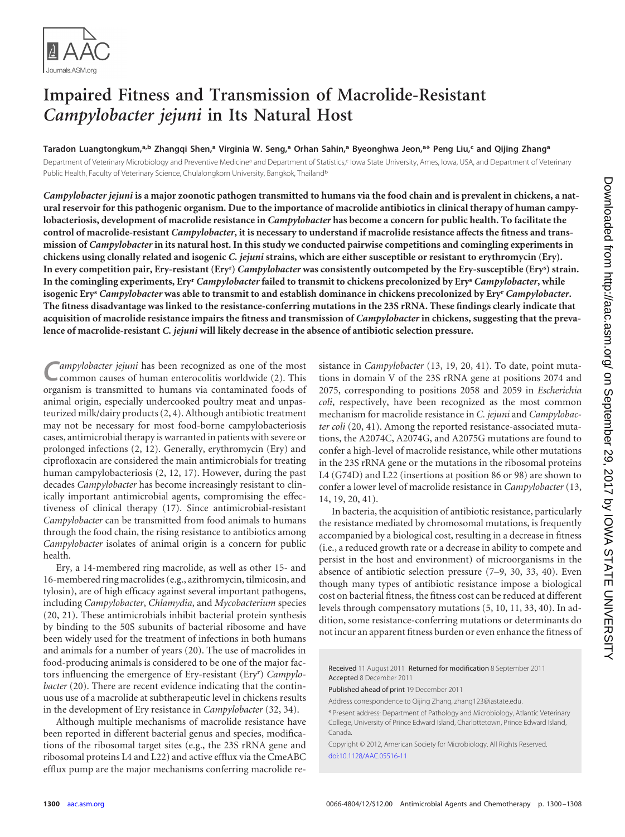

# **Impaired Fitness and Transmission of Macrolide-Resistant** *Campylobacter jejuni* **in Its Natural Host**

**Taradon Luangtongkum, a,b Zhangqi Shen, <sup>a</sup> Virginia W. Seng, <sup>a</sup> Orhan Sahin, <sup>a</sup> Byeonghwa Jeon, a\* Peng Liu, <sup>c</sup> and Qijing Zhanga**

Department of Veterinary Microbiology and Preventive Medicine<sup>a</sup> and Department of Statistics,<sup>c</sup> Iowa State University, Ames, Iowa, USA, and Department of Veterinary Public Health, Faculty of Veterinary Science, Chulalongkorn University, Bangkok, Thailand<sup>t</sup>

*Campylobacter jejuni* **is a major zoonotic pathogen transmitted to humans via the food chain and is prevalent in chickens, a natural reservoir for this pathogenic organism. Due to the importance of macrolide antibiotics in clinical therapy of human campylobacteriosis, development of macrolide resistance in** *Campylobacter* **has become a concern for public health. To facilitate the control of macrolide-resistant** *Campylobacter***, it is necessary to understand if macrolide resistance affects the fitness and transmission of** *Campylobacter* **in its natural host. In this study we conducted pairwise competitions and comingling experiments in chickens using clonally related and isogenic** *C. jejuni* **strains, which are either susceptible or resistant to erythromycin (Ery). In every competition pair, Ery-resistant (Ery<sup>r</sup> )** *Campylobacter* **was consistently outcompeted by the Ery-susceptible (Ery<sup>s</sup> ) strain. In the comingling experiments, Ery<sup>r</sup>** *Campylobacter* **failed to transmit to chickens precolonized by Ery<sup>s</sup>** *Campylobacter***, while isogenic Ery<sup>s</sup>** *Campylobacter* **was able to transmit to and establish dominance in chickens precolonized by Ery<sup>r</sup>** *Campylobacter***. The fitness disadvantage was linked to the resistance-conferring mutations in the 23S rRNA. These findings clearly indicate that acquisition of macrolide resistance impairs the fitness and transmission of** *Campylobacter* **in chickens, suggesting that the prevalence of macrolide-resistant** *C. jejuni* **will likely decrease in the absence of antibiotic selection pressure.**

ampylobacter jejuni has been recognized as one of the most common causes of human enterocolitis worldwide [\(2\)](#page-7-0). This organism is transmitted to humans via contaminated foods of animal origin, especially undercooked poultry meat and unpasteurized milk/dairy products [\(2,](#page-7-0) [4\)](#page-7-1). Although antibiotic treatment may not be necessary for most food-borne campylobacteriosis cases, antimicrobial therapy is warranted in patients with severe or prolonged infections [\(2,](#page-7-0) [12\)](#page-8-0). Generally, erythromycin (Ery) and ciprofloxacin are considered the main antimicrobials for treating human campylobacteriosis [\(2,](#page-7-0) [12,](#page-8-0) [17\)](#page-8-1). However, during the past decades *Campylobacter* has become increasingly resistant to clinically important antimicrobial agents, compromising the effectiveness of clinical therapy [\(17\)](#page-8-1). Since antimicrobial-resistant *Campylobacter* can be transmitted from food animals to humans through the food chain, the rising resistance to antibiotics among *Campylobacter* isolates of animal origin is a concern for public health.

Ery, a 14-membered ring macrolide, as well as other 15- and 16-membered ring macrolides (e.g., azithromycin, tilmicosin, and tylosin), are of high efficacy against several important pathogens, including *Campylobacter*, *Chlamydia*, and *Mycobacterium* species [\(20,](#page-8-2) [21\)](#page-8-3). These antimicrobials inhibit bacterial protein synthesis by binding to the 50S subunits of bacterial ribosome and have been widely used for the treatment of infections in both humans and animals for a number of years [\(20\)](#page-8-2). The use of macrolides in food-producing animals is considered to be one of the major factors influencing the emergence of Ery-resistant (Ery<sup>r</sup> ) *Campylobacter* [\(20\)](#page-8-2). There are recent evidence indicating that the continuous use of a macrolide at subtherapeutic level in chickens results in the development of Ery resistance in *Campylobacter* [\(32,](#page-8-4) [34\)](#page-8-5).

Although multiple mechanisms of macrolide resistance have been reported in different bacterial genus and species, modifications of the ribosomal target sites (e.g., the 23S rRNA gene and ribosomal proteins L4 and L22) and active efflux via the CmeABC efflux pump are the major mechanisms conferring macrolide resistance in *Campylobacter* [\(13,](#page-8-6) [19,](#page-8-7) [20,](#page-8-2) [41\)](#page-8-8). To date, point mutations in domain V of the 23S rRNA gene at positions 2074 and 2075, corresponding to positions 2058 and 2059 in *Escherichia coli*, respectively, have been recognized as the most common mechanism for macrolide resistance in *C. jejuni* and *Campylobacter coli* [\(20,](#page-8-2) [41\)](#page-8-8). Among the reported resistance-associated mutations, the A2074C, A2074G, and A2075G mutations are found to confer a high-level of macrolide resistance, while other mutations in the 23S rRNA gene or the mutations in the ribosomal proteins L4 (G74D) and L22 (insertions at position 86 or 98) are shown to confer a lower level of macrolide resistance in *Campylobacter* [\(13,](#page-8-6) [14,](#page-8-9) [19,](#page-8-7) [20,](#page-8-2) [41\)](#page-8-8).

In bacteria, the acquisition of antibiotic resistance, particularly the resistance mediated by chromosomal mutations, is frequently accompanied by a biological cost, resulting in a decrease in fitness (i.e., a reduced growth rate or a decrease in ability to compete and persist in the host and environment) of microorganisms in the absence of antibiotic selection pressure [\(7](#page-7-2)[–9,](#page-7-3) [30,](#page-8-10) [33,](#page-8-11) [40\)](#page-8-12). Even though many types of antibiotic resistance impose a biological cost on bacterial fitness, the fitness cost can be reduced at different levels through compensatory mutations [\(5,](#page-7-4) [10,](#page-8-13) [11,](#page-8-14) [33,](#page-8-11) [40\)](#page-8-12). In addition, some resistance-conferring mutations or determinants do not incur an apparent fitness burden or even enhance the fitness of

Received 11 August 2011 Returned for modification 8 September 2011 Accepted 8 December 2011

Published ahead of print 19 December 2011

Address correspondence to Qijing Zhang, zhang123@iastate.edu.

\* Present address: Department of Pathology and Microbiology, Atlantic Veterinary College, University of Prince Edward Island, Charlottetown, Prince Edward Island, Canada.

Copyright © 2012, American Society for Microbiology. All Rights Reserved. [doi:10.1128/AAC.05516-11](http://dx.doi.org/10.1128/AAC.05516-11)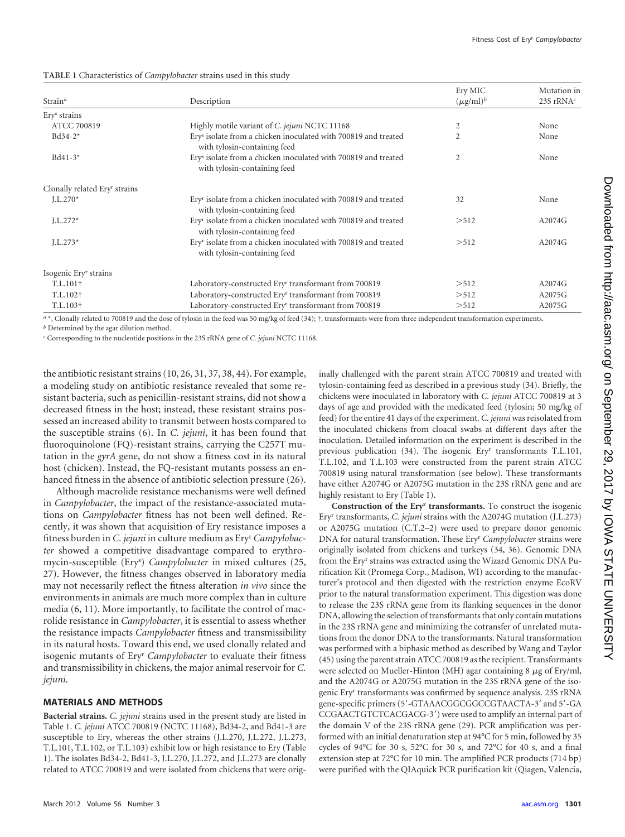<span id="page-1-0"></span>**TABLE 1** Characteristics of *Campylobacter* strains used in this study

|                                           |                                                                                                            | Ery MIC              | Mutation in  |  |
|-------------------------------------------|------------------------------------------------------------------------------------------------------------|----------------------|--------------|--|
| Strain <sup>a</sup>                       | Description                                                                                                | $(\mu\text{g/ml})^b$ | 23S rRNA $c$ |  |
| Ery <sup>s</sup> strains                  |                                                                                                            |                      |              |  |
| ATCC 700819                               | Highly motile variant of C. jejuni NCTC 11168                                                              | 2                    | None         |  |
| $Bd34-2*$                                 | Ery <sup>s</sup> isolate from a chicken inoculated with 700819 and treated<br>with tylosin-containing feed | $\overline{2}$       | None         |  |
| $Bd41-3*$                                 | Ery <sup>s</sup> isolate from a chicken inoculated with 700819 and treated<br>with tylosin-containing feed | $\overline{2}$       | None         |  |
| Clonally related Ery <sup>r</sup> strains |                                                                                                            |                      |              |  |
| $J.L.270*$                                | Ery <sup>r</sup> isolate from a chicken inoculated with 700819 and treated<br>with tylosin-containing feed | 32                   | None         |  |
| $L.272*$                                  | Ery <sup>r</sup> isolate from a chicken inoculated with 700819 and treated<br>with tylosin-containing feed | >512                 | A2074G       |  |
| $L.273*$                                  | Ery <sup>r</sup> isolate from a chicken inoculated with 700819 and treated<br>with tylosin-containing feed | > 512                | A2074G       |  |
| Isogenic Ery <sup>r</sup> strains         |                                                                                                            |                      |              |  |
| $T.L.101\dagger$                          | Laboratory-constructed Ery <sup>r</sup> transformant from 700819                                           | >512                 | A2074G       |  |
| T.L.102 <sup>+</sup>                      | Laboratory-constructed Ery <sup>r</sup> transformant from 700819                                           | >512                 | A2075G       |  |
| T.L.103 <sup>+</sup>                      | Laboratory-constructed Ery <sup>r</sup> transformant from 700819                                           | >512                 | A2075G       |  |

*a* \*, Clonally related to 700819 and the dose of tylosin in the feed was 50 mg/kg of feed [\(34\)](#page-8-5); †, transformants were from three independent transformation experiments.

*b* Determined by the agar dilution method.

*c* Corresponding to the nucleotide positions in the 23S rRNA gene of *C. jejuni* NCTC 11168.

the antibiotic resistant strains [\(10,](#page-8-13) [26,](#page-8-15) [31,](#page-8-16) [37,](#page-8-17) [38,](#page-8-18) [44\)](#page-8-19). For example, a modeling study on antibiotic resistance revealed that some resistant bacteria, such as penicillin-resistant strains, did not show a decreased fitness in the host; instead, these resistant strains possessed an increased ability to transmit between hosts compared to the susceptible strains [\(6\)](#page-7-5). In *C. jejuni*, it has been found that fluoroquinolone (FQ)-resistant strains, carrying the C257T mutation in the *gyrA* gene, do not show a fitness cost in its natural host (chicken). Instead, the FQ-resistant mutants possess an enhanced fitness in the absence of antibiotic selection pressure [\(26\)](#page-8-15).

Although macrolide resistance mechanisms were well defined in *Campylobacter*, the impact of the resistance-associated mutations on *Campylobacter* fitness has not been well defined. Recently, it was shown that acquisition of Ery resistance imposes a fitness burden in *C. jejuni* in culture medium as Ery<sup>r</sup> *Campylobacter* showed a competitive disadvantage compared to erythromycin-susceptible (Ery<sup>s</sup> ) *Campylobacter* in mixed cultures [\(25,](#page-8-20) [27\)](#page-8-21). However, the fitness changes observed in laboratory media may not necessarily reflect the fitness alteration *in vivo* since the environments in animals are much more complex than in culture media [\(6,](#page-7-5) [11\)](#page-8-14). More importantly, to facilitate the control of macrolide resistance in *Campylobacter*, it is essential to assess whether the resistance impacts *Campylobacter* fitness and transmissibility in its natural hosts. Toward this end, we used clonally related and isogenic mutants of Ery<sup>r</sup> *Campylobacter* to evaluate their fitness and transmissibility in chickens, the major animal reservoir for *C. jejuni*.

## **MATERIALS AND METHODS**

**Bacterial strains.** *C. jejuni* strains used in the present study are listed in [Table 1.](#page-1-0) *C. jejuni* ATCC 700819 (NCTC 11168), Bd34-2, and Bd41-3 are susceptible to Ery, whereas the other strains (J.L.270, J.L.272, J.L.273, T.L.101, T.L.102, or T.L.103) exhibit low or high resistance to Ery [\(Table](#page-1-0) [1\)](#page-1-0). The isolates Bd34-2, Bd41-3, J.L.270, J.L.272, and J.L.273 are clonally related to ATCC 700819 and were isolated from chickens that were originally challenged with the parent strain ATCC 700819 and treated with tylosin-containing feed as described in a previous study [\(34\)](#page-8-5). Briefly, the chickens were inoculated in laboratory with *C. jejuni* ATCC 700819 at 3 days of age and provided with the medicated feed (tylosin; 50 mg/kg of feed) for the entire 41 days of the experiment. C. jejuni was reisolated from the inoculated chickens from cloacal swabs at different days after the inoculation. Detailed information on the experiment is described in the previous publication [\(34\)](#page-8-5). The isogenic Eryr transformants T.L.101, T.L.102, and T.L.103 were constructed from the parent strain ATCC 700819 using natural transformation (see below). These transformants have either A2074G or A2075G mutation in the 23S rRNA gene and are highly resistant to Ery [\(Table 1\)](#page-1-0).

**Construction of the Eryr transformants.** To construct the isogenic Eryr transformants, *C. jejuni* strains with the A2074G mutation (J.L.273) or A2075G mutation (C.T.2–2) were used to prepare donor genomic DNA for natural transformation. These Eryr *Campylobacter* strains were originally isolated from chickens and turkeys [\(34,](#page-8-5) [36\)](#page-8-22). Genomic DNA from the Eryr strains was extracted using the Wizard Genomic DNA Purification Kit (Promega Corp., Madison, WI) according to the manufacturer's protocol and then digested with the restriction enzyme EcoRV prior to the natural transformation experiment. This digestion was done to release the 23S rRNA gene from its flanking sequences in the donor DNA, allowing the selection of transformants that only contain mutations in the 23S rRNA gene and minimizing the cotransfer of unrelated mutations from the donor DNA to the transformants. Natural transformation was performed with a biphasic method as described by Wang and Taylor [\(45\)](#page-8-23) using the parent strain ATCC 700819 as the recipient. Transformants were selected on Mueller-Hinton (MH) agar containing 8  $\mu$ g of Ery/ml, and the A2074G or A2075G mutation in the 23S rRNA gene of the isogenic Eryr transformants was confirmed by sequence analysis. 23S rRNA gene-specific primers (5'-GTAAACGGCGGCCGTAACTA-3' and 5'-GA CCGAACTGTCTCACGACG-3') were used to amplify an internal part of the domain V of the 23S rRNA gene [\(29\)](#page-8-24). PCR amplification was performed with an initial denaturation step at 94°C for 5 min, followed by 35 cycles of 94°C for 30 s, 52°C for 30 s, and 72°C for 40 s, and a final extension step at 72°C for 10 min. The amplified PCR products (714 bp) were purified with the QIAquick PCR purification kit (Qiagen, Valencia,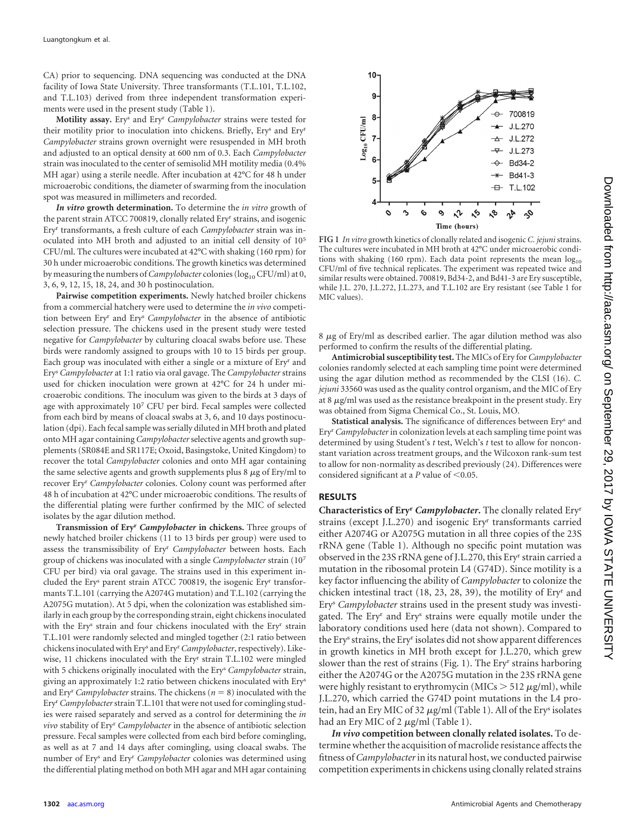CA) prior to sequencing. DNA sequencing was conducted at the DNA facility of Iowa State University. Three transformants (T.L.101, T.L.102, and T.L.103) derived from three independent transformation experiments were used in the present study [\(Table 1\)](#page-1-0).

**Motility assay.** Erys and Eryr *Campylobacter* strains were tested for their motility prior to inoculation into chickens. Briefly, Erys and Eryr *Campylobacter* strains grown overnight were resuspended in MH broth and adjusted to an optical density at 600 nm of 0.3. Each *Campylobacter* strain was inoculated to the center of semisolid MH motility media (0.4% MH agar) using a sterile needle. After incubation at 42°C for 48 h under microaerobic conditions, the diameter of swarming from the inoculation spot was measured in millimeters and recorded.

*In vitro* **growth determination.** To determine the *in vitro* growth of the parent strain ATCC 700819, clonally related Eryr strains, and isogenic Eryr transformants, a fresh culture of each *Campylobacter* strain was inoculated into MH broth and adjusted to an initial cell density of 105 CFU/ml. The cultures were incubated at 42°C with shaking (160 rpm) for 30 h under microaerobic conditions. The growth kinetics was determined by measuring the numbers of *Campylobacter* colonies (log<sub>10</sub> CFU/ml) at 0, 3, 6, 9, 12, 15, 18, 24, and 30 h postinoculation.

**Pairwise competition experiments.** Newly hatched broiler chickens from a commercial hatchery were used to determine the *in vivo* competition between Eryr and Erys *Campylobacter* in the absence of antibiotic selection pressure. The chickens used in the present study were tested negative for *Campylobacter* by culturing cloacal swabs before use. These birds were randomly assigned to groups with 10 to 15 birds per group. Each group was inoculated with either a single or a mixture of Eryr and Erys *Campylobacter* at 1:1 ratio via oral gavage. The *Campylobacter* strains used for chicken inoculation were grown at 42°C for 24 h under microaerobic conditions. The inoculum was given to the birds at 3 days of age with approximately 107 CFU per bird. Fecal samples were collected from each bird by means of cloacal swabs at 3, 6, and 10 days postinoculation (dpi). Each fecal sample was serially diluted in MH broth and plated onto MH agar containing *Campylobacter*selective agents and growth supplements (SR084E and SR117E; Oxoid, Basingstoke, United Kingdom) to recover the total *Campylobacter* colonies and onto MH agar containing the same selective agents and growth supplements plus  $8 \mu g$  of Ery/ml to recover Eryr *Campylobacter* colonies. Colony count was performed after 48 h of incubation at 42°C under microaerobic conditions. The results of the differential plating were further confirmed by the MIC of selected isolates by the agar dilution method.

**Transmission of Eryr** *Campylobacter* **in chickens.** Three groups of newly hatched broiler chickens (11 to 13 birds per group) were used to assess the transmissibility of Eryr *Campylobacter* between hosts. Each group of chickens was inoculated with a single *Campylobacter* strain (107 CFU per bird) via oral gavage. The strains used in this experiment included the Ery<sup>s</sup> parent strain ATCC 700819, the isogenic Ery<sup>r</sup> transformants T.L.101 (carrying the A2074G mutation) and T.L.102 (carrying the A2075G mutation). At 5 dpi, when the colonization was established similarly in each group by the corresponding strain, eight chickens inoculated with the Ery<sup>s</sup> strain and four chickens inoculated with the Ery<sup>r</sup> strain T.L.101 were randomly selected and mingled together (2:1 ratio between chickens inoculated with Erys and Eryr*Campylobacter*, respectively). Likewise, 11 chickens inoculated with the Ery<sup>r</sup> strain T.L.102 were mingled with 5 chickens originally inoculated with the Erys *Campylobacter* strain, giving an approximately 1:2 ratio between chickens inoculated with Erys and Ery<sup>r</sup> Campylobacter strains. The chickens  $(n = 8)$  inoculated with the Eryr*Campylobacter*strain T.L.101 that were not used for comingling studies were raised separately and served as a control for determining the *in vivo* stability of Eryr *Campylobacter* in the absence of antibiotic selection pressure. Fecal samples were collected from each bird before comingling, as well as at 7 and 14 days after comingling, using cloacal swabs. The number of Erys and Eryr *Campylobacter* colonies was determined using the differential plating method on both MH agar and MH agar containing



<span id="page-2-0"></span>**FIG 1** *In vitro* growth kinetics of clonally related and isogenic *C. jejuni* strains. The cultures were incubated in MH broth at 42°C under microaerobic conditions with shaking (160 rpm). Each data point represents the mean  $log_{10}$ <br>CFU/ml of five technical replicates. The experiment was repeated twice and similar results were obtained. 700819, Bd34-2, and Bd41-3 are Ery susceptible, while J.L. 270, J.L.272, J.L.273, and T.L.102 are Ery resistant (see [Table 1](#page-1-0) for MIC values).

 $8 \mu g$  of Ery/ml as described earlier. The agar dilution method was also performed to confirm the results of the differential plating.

**Antimicrobial susceptibility test.** The MICs of Ery for *Campylobacter* colonies randomly selected at each sampling time point were determined using the agar dilution method as recommended by the CLSI [\(16\)](#page-8-25). *C. jejuni* 33560 was used as the quality control organism, and the MIC of Ery at 8  $\mu$ g/ml was used as the resistance breakpoint in the present study. Ery was obtained from Sigma Chemical Co., St. Louis, MO.

**Statistical analysis.** The significance of differences between Erys and Eryr *Campylobacter* in colonization levels at each sampling time point was determined by using Student's *t* test, Welch's *t* test to allow for nonconstant variation across treatment groups, and the Wilcoxon rank-sum test to allow for non-normality as described previously [\(24\)](#page-8-26). Differences were considered significant at a  $P$  value of  $\leq 0.05$ .

## **RESULTS**

**Characteristics of Ery<sup>r</sup>** *Campylobacter***.** The clonally related Ery<sup>r</sup> strains (except J.L.270) and isogenic Ery<sup>r</sup> transformants carried either A2074G or A2075G mutation in all three copies of the 23S rRNA gene [\(Table 1\)](#page-1-0). Although no specific point mutation was observed in the 23S rRNA gene of J.L.270, this Ery<sup>r</sup> strain carried a mutation in the ribosomal protein L4 (G74D). Since motility is a key factor influencing the ability of *Campylobacter* to colonize the chicken intestinal tract [\(18,](#page-8-27) [23,](#page-8-28) [28,](#page-8-29) [39\)](#page-8-30), the motility of Ery<sup>r</sup> and Ery<sup>s</sup> *Campylobacter* strains used in the present study was investigated. The Ery<sup>r</sup> and Ery<sup>s</sup> strains were equally motile under the laboratory conditions used here (data not shown). Compared to the Ery<sup>s</sup> strains, the Ery<sup>r</sup> isolates did not show apparent differences in growth kinetics in MH broth except for J.L.270, which grew slower than the rest of strains [\(Fig. 1\)](#page-2-0). The Ery<sup>r</sup> strains harboring either the A2074G or the A2075G mutation in the 23S rRNA gene were highly resistant to erythromycin ( $MICs > 512 \mu g/ml$ ), while J.L.270, which carried the G74D point mutations in the L4 protein, had an Ery MIC of 32  $\mu$ g/ml [\(Table 1\)](#page-1-0). All of the Ery<sup>s</sup> isolates had an Ery MIC of 2  $\mu$ g/ml [\(Table 1\)](#page-1-0).

*In vivo* **competition between clonally related isolates.** To determine whether the acquisition of macrolide resistance affects the fitness of *Campylobacter*in its natural host, we conducted pairwise competition experiments in chickens using clonally related strains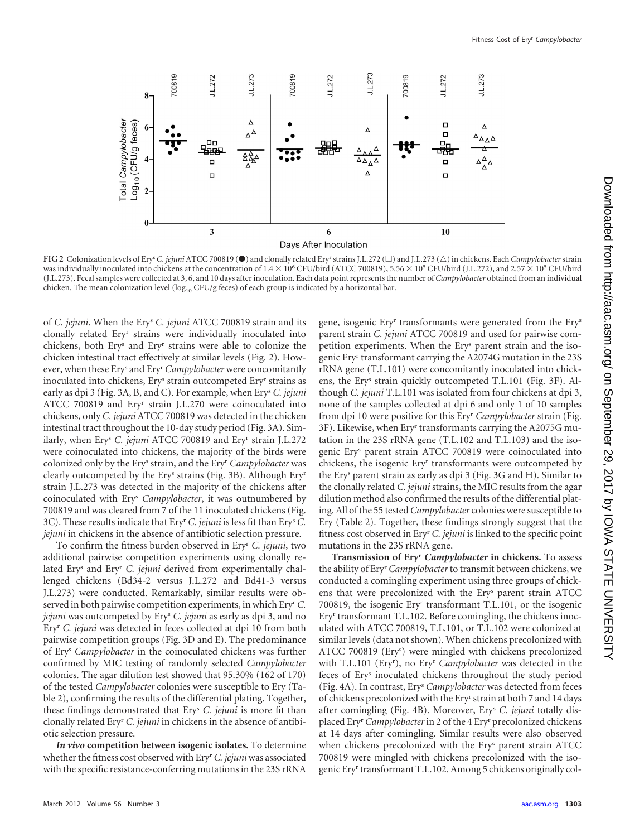



<span id="page-3-0"></span>**FIG 2** Colonization levels of Ery<sup>s</sup> C. jejuni ATCC 700819 ( $\bullet$ ) and clonally related Ery<sup>r</sup> strains J.L.272 ( $\Box$ ) and J.L.273 ( $\triangle$ ) in chickens. Each *Campylobacter* strain was individually inoculated into chickens at the concentration of  $1.4 \times 10^6$  CFU/bird (ATCC 700819), 5.56  $\times$  10<sup>5</sup> CFU/bird (J.L.272), and 2.57  $\times$  10<sup>5</sup> CFU/bird (J.L.273). Fecal samples were collected at 3, 6, and 10 days after inoculation. Each data point represents the number of *Campylobacter* obtained from an individual chicken. The mean colonization level (log<sub>10</sub> CFU/g feces) of each group is indicated by a horizontal bar.

of *C. jejuni*. When the Ery<sup>s</sup> *C. jejuni* ATCC 700819 strain and its clonally related Ery<sup>r</sup> strains were individually inoculated into chickens, both Ery<sup>s</sup> and Ery<sup>r</sup> strains were able to colonize the chicken intestinal tract effectively at similar levels [\(Fig. 2\)](#page-3-0). However, when these Ery<sup>s</sup> and Ery<sup>r</sup> *Campylobacter* were concomitantly inoculated into chickens, Ery<sup>s</sup> strain outcompeted Ery<sup>r</sup> strains as early as dpi 3 [\(Fig. 3A](#page-4-0), B, and C). For example, when Ery<sup>s</sup> *C. jejuni* ATCC 700819 and Ery<sup>r</sup> strain J.L.270 were coinoculated into chickens, only *C. jejuni* ATCC 700819 was detected in the chicken intestinal tract throughout the 10-day study period [\(Fig. 3A](#page-4-0)). Similarly, when Ery<sup>s</sup> *C. jejuni* ATCC 700819 and Ery<sup>r</sup> strain J.L.272 were coinoculated into chickens, the majority of the birds were colonized only by the Ery<sup>s</sup> strain, and the Ery<sup>r</sup> *Campylobacter* was clearly outcompeted by the Ery<sup>s</sup> strains [\(Fig. 3B](#page-4-0)). Although Ery<sup>r</sup> strain J.L.273 was detected in the majority of the chickens after coinoculated with Ery<sup>s</sup> *Campylobacter*, it was outnumbered by 700819 and was cleared from 7 of the 11 inoculated chickens [\(Fig.](#page-4-0) [3C](#page-4-0)). These results indicate that Ery<sup>r</sup> *C. jejuni* is less fit than Ery<sup>s</sup> *C. jejuni* in chickens in the absence of antibiotic selection pressure.

To confirm the fitness burden observed in Ery<sup>r</sup> *C. jejuni*, two additional pairwise competition experiments using clonally related Ery<sup>s</sup> and Ery<sup>r</sup> *C. jejuni* derived from experimentally challenged chickens (Bd34-2 versus J.L.272 and Bd41-3 versus J.L.273) were conducted. Remarkably, similar results were observed in both pairwise competition experiments, in which Eryr*C. jejuni* was outcompeted by Ery<sup>s</sup> *C. jejuni* as early as dpi 3, and no Ery<sup>r</sup> *C. jejuni* was detected in feces collected at dpi 10 from both pairwise competition groups [\(Fig. 3D](#page-4-0) and E). The predominance of Ery<sup>s</sup> *Campylobacter* in the coinoculated chickens was further confirmed by MIC testing of randomly selected *Campylobacter* colonies. The agar dilution test showed that 95.30% (162 of 170) of the tested *Campylobacter* colonies were susceptible to Ery [\(Ta](#page-5-0)[ble 2\)](#page-5-0), confirming the results of the differential plating. Together, these findings demonstrated that Ery<sup>s</sup> *C. jejuni* is more fit than clonally related Ery<sup>r</sup> *C. jejuni* in chickens in the absence of antibiotic selection pressure.

*In vivo* **competition between isogenic isolates.** To determine whether the fitness cost observed with Eryr*C. jejuni*was associated with the specific resistance-conferring mutations in the 23S rRNA gene, isogenic Ery<sup>r</sup> transformants were generated from the Ery<sup>s</sup> parent strain *C. jejuni* ATCC 700819 and used for pairwise competition experiments. When the Ery<sup>s</sup> parent strain and the isogenic Ery<sup>r</sup> transformant carrying the A2074G mutation in the 23S rRNA gene (T.L.101) were concomitantly inoculated into chickens, the Ery<sup>s</sup> strain quickly outcompeted T.L.101 [\(Fig. 3F](#page-4-0)). Although *C. jejuni* T.L.101 was isolated from four chickens at dpi 3, none of the samples collected at dpi 6 and only 1 of 10 samples from dpi 10 were positive for this Ery<sup>r</sup> *Campylobacter* strain [\(Fig.](#page-4-0) 3F). Likewise, when Ery<sup>r</sup> [transformants carrying the A2075G mu](#page-4-0)[tation in the 23S rRNA gene \(T.L.102 and T.L.103\) and the iso](#page-4-0)genic Ery<sup>s</sup> [parent strain ATCC 700819 were coinoculated into](#page-4-0) chickens, the isogenic Ery<sup>r</sup> [transformants were outcompeted by](#page-4-0) the Ery<sup>s</sup> parent strain as early as dpi 3 [\(Fig. 3G](#page-4-0) and H). Similar to the clonally related *C. jejuni* strains, the MIC results from the agar dilution method also confirmed the results of the differential plating. All of the 55 tested *Campylobacter* colonies were susceptible to Ery [\(Table 2\)](#page-5-0). Together, these findings strongly suggest that the fitness cost observed in Ery<sup>r</sup> *C. jejuni* is linked to the specific point mutations in the 23S rRNA gene.

**Transmission of Ery<sup>r</sup>** *Campylobacter* **in chickens.** To assess the ability of Eryr*Campylobacter*to transmit between chickens, we conducted a comingling experiment using three groups of chickens that were precolonized with the Ery<sup>s</sup> parent strain ATCC 700819, the isogenic Ery<sup>r</sup> transformant T.L.101, or the isogenic Ery<sup>r</sup> transformant T.L.102. Before comingling, the chickens inoculated with ATCC 700819, T.L.101, or T.L.102 were colonized at similar levels (data not shown). When chickens precolonized with ATCC 700819 (Ery<sup>s</sup> ) were mingled with chickens precolonized with T.L.101 (Ery<sup>r</sup> ), no Ery<sup>r</sup> *Campylobacter* was detected in the feces of Ery<sup>s</sup> inoculated chickens throughout the study period [\(Fig. 4A](#page-6-0)). In contrast, Ery<sup>s</sup> *Campylobacter* was detected from feces of chickens precolonized with the Ery<sup>r</sup> strain at both 7 and 14 days after comingling [\(Fig. 4B](#page-6-0)). Moreover, Ery<sup>s</sup> *C. jejuni* totally displaced Eryr*Campylobacter*in 2 of the 4 Ery<sup>r</sup> precolonized chickens at 14 days after comingling. Similar results were also observed when chickens precolonized with the Ery<sup>s</sup> parent strain ATCC 700819 were mingled with chickens precolonized with the isogenic Ery<sup>r</sup> transformant T.L.102. Among 5 chickens originally col-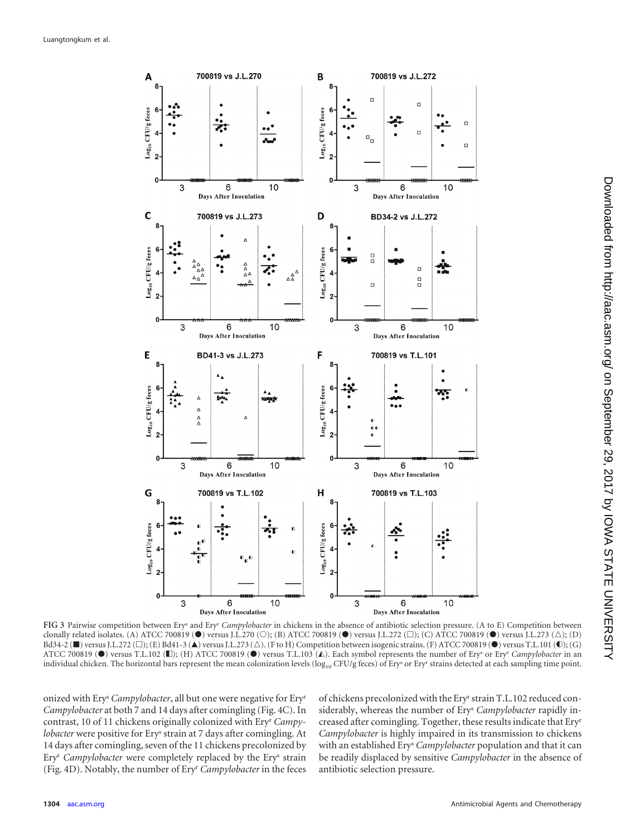

<span id="page-4-0"></span>**FIG 3** Pairwise competition between Erys and Eryr *Campylobacter* in chickens in the absence of antibiotic selection pressure. (A to E) Competition between clonally related isolates. (A) ATCC 700819 ( $\bullet$ ) versus J.L.270 (O); (B) ATCC 700819 ( $\bullet$ ) versus J.L.272 ( $\square$ ); (C) ATCC 700819 ( $\bullet$ ) versus J.L.273 ( $\triangle$ ); (D)  $B$ d34-2 ( $\blacksquare$ ) versus J.L.272 ( $\Box$ ); (E) Bd41-3 ( $\blacktriangle$ ) versus J.L.273 ( $\triangle$ ). (F to H) Competition between isogenic strains. (F) ATCC 700819 ( $\blacksquare$ ) versus T.L.101 ( $\blacksquare$ ); (G) ATCC 700819 (<sup>•</sup>) versus T.L.102 (■); (H) ATCC 700819 (<sup>•</sup>) versus T.L.103 ( $\triangle$ ). Each symbol represents the number of Ery<sup>s</sup> or Ery<sup>r</sup> *Campylobacter* in an individual chicken. The horizontal bars represent the mean colonization levels ( $\log_{10}$  CFU/g feces) of Ery<sup>s</sup> or Ery<sup>r</sup> strains detected at each sampling time point.

onized with Ery<sup>s</sup> *Campylobacter*, all but one were negative for Ery<sup>r</sup> *Campylobacter* at both 7 and 14 days after comingling [\(Fig. 4C](#page-6-0)). In contrast, 10 of 11 chickens originally colonized with Ery<sup>r</sup> *Campylobacter* were positive for Ery<sup>s</sup> strain at 7 days after comingling. At 14 days after comingling, seven of the 11 chickens precolonized by Ery<sup>r</sup> *Campylobacter* were completely replaced by the Ery<sup>s</sup> strain [\(Fig. 4D](#page-6-0)). Notably, the number of Ery<sup>r</sup> *Campylobacter* in the feces

of chickens precolonized with the Ery<sup>r</sup> strain T.L.102 reduced considerably, whereas the number of Ery<sup>s</sup> *Campylobacter* rapidly increased after comingling. Together, these results indicate that Ery<sup>r</sup> *Campylobacter* is highly impaired in its transmission to chickens with an established Ery<sup>s</sup> *Campylobacter* population and that it can be readily displaced by sensitive *Campylobacter* in the absence of antibiotic selection pressure.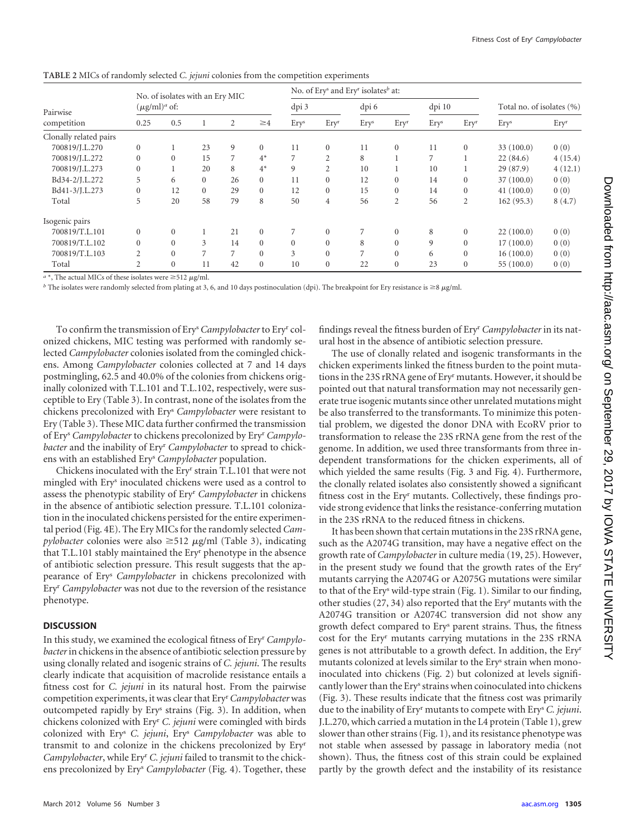| Pairwise<br>competition | No. of isolates with an Ery MIC<br>$(\mu\text{g/ml})^a$ of: |              |                |    |              |                  | No. of Ery <sup>s</sup> and Ery <sup>r</sup> isolates <sup>b</sup> at: |       |                  |        |                  |                           |         |
|-------------------------|-------------------------------------------------------------|--------------|----------------|----|--------------|------------------|------------------------------------------------------------------------|-------|------------------|--------|------------------|---------------------------|---------|
|                         |                                                             |              |                |    |              | dpi 3            |                                                                        | dpi 6 |                  | dpi 10 |                  | Total no. of isolates (%) |         |
|                         | 0.25                                                        | 0.5          |                | 2  | $\geq$ 4     | Ery <sup>s</sup> | Ery <sup>r</sup>                                                       | Erys  | Ery <sup>r</sup> | Erys   | Ery <sup>r</sup> | Ery <sup>s</sup>          | Eryr    |
| Clonally related pairs  |                                                             |              |                |    |              |                  |                                                                        |       |                  |        |                  |                           |         |
| 700819/J.L.270          | $\mathbf{0}$                                                |              | 23             | 9  | $\mathbf{0}$ | 11               | $\mathbf{0}$                                                           | 11    | $\mathbf{0}$     | 11     | $\mathbf{0}$     | 33(100.0)                 | 0(0)    |
| 700819/J.L.272          | $\mathbf{0}$                                                | $\mathbf{0}$ | 15             | 7  | $4^*$        | 7                | $\overline{2}$                                                         | 8     |                  | 7      |                  | 22(84.6)                  | 4(15.4) |
| 700819/J.L.273          | $\mathbf{0}$                                                |              | 20             | 8  | $4^*$        | 9                | $\overline{c}$                                                         | 10    |                  | 10     |                  | 29 (87.9)                 | 4(12.1) |
| Bd34-2/J.L.272          | 5                                                           | 6            | $\overline{0}$ | 26 | $\mathbf{0}$ | 11               | $\Omega$                                                               | 12    | $\Omega$         | 14     | $\mathbf{0}$     | 37(100.0)                 | 0(0)    |
| Bd41-3/J.L.273          | $\Omega$                                                    | 12           | $\overline{0}$ | 29 | $\Omega$     | 12               | $\theta$                                                               | 15    | $\Omega$         | 14     | $\mathbf{0}$     | 41(100.0)                 | 0(0)    |
| Total                   | 5                                                           | 20           | 58             | 79 | 8            | 50               | $\overline{4}$                                                         | 56    | $\overline{2}$   | 56     | $\overline{2}$   | 162(95.3)                 | 8(4.7)  |
| Isogenic pairs          |                                                             |              |                |    |              |                  |                                                                        |       |                  |        |                  |                           |         |
| 700819/T.L.101          | $\mathbf{0}$                                                | $\mathbf{0}$ |                | 21 | $\mathbf{0}$ |                  | $\overline{0}$                                                         |       | $\mathbf{0}$     | 8      | $\mathbf{0}$     | 22(100.0)                 | 0(0)    |
| 700819/T.L.102          | $\mathbf{0}$                                                | $\Omega$     | 3              | 14 | $\mathbf{0}$ | $\mathbf{0}$     | $\theta$                                                               | 8     | $\Omega$         | 9      | $\Omega$         | 17(100.0)                 | 0(0)    |
| 700819/T.L.103          | $\overline{c}$                                              | $\Omega$     | 7              | 7  | $\Omega$     | 3                | $\theta$                                                               | 7     | $\theta$         | 6      | $\Omega$         | 16(100.0)                 | 0(0)    |
| Total                   | $\overline{c}$                                              | $\mathbf{0}$ | 11             | 42 | $\Omega$     | 10               | $\theta$                                                               | 22    | $\theta$         | 23     | $\mathbf{0}$     | 55(100.0)                 | 0(0)    |

<span id="page-5-0"></span>**TABLE 2** MICs of randomly selected *C. jejuni* colonies from the competition experiments

 $a^*$ , The actual MICs of these isolates were  $\geq$ 512  $\mu$ g/ml.

*b* The isolates were randomly selected from plating at 3, 6, and 10 days postinoculation (dpi). The breakpoint for Ery resistance is  $\geq 8 \mu g/ml$ .

To confirm the transmission of Ery<sup>s</sup> *Campylobacter*to Ery<sup>r</sup> colonized chickens, MIC testing was performed with randomly selected *Campylobacter* colonies isolated from the comingled chickens. Among *Campylobacter* colonies collected at 7 and 14 days postmingling, 62.5 and 40.0% of the colonies from chickens originally colonized with T.L.101 and T.L.102, respectively, were susceptible to Ery [\(Table 3\)](#page-7-6). In contrast, none of the isolates from the chickens precolonized with Ery<sup>s</sup> *Campylobacter* were resistant to Ery [\(Table 3\)](#page-7-6). These MIC data further confirmed the transmission of Ery<sup>s</sup> *Campylobacter* to chickens precolonized by Ery<sup>r</sup> *Campylobacter* and the inability of Ery<sup>r</sup> *Campylobacter* to spread to chickens with an established Ery<sup>s</sup> *Campylobacter* population.

Chickens inoculated with the Ery<sup>r</sup> strain T.L.101 that were not mingled with Ery<sup>s</sup> inoculated chickens were used as a control to assess the phenotypic stability of Ery<sup>r</sup> *Campylobacter* in chickens in the absence of antibiotic selection pressure. T.L.101 colonization in the inoculated chickens persisted for the entire experimental period [\(Fig. 4E](#page-6-0)). The Ery MICs for the randomly selected *Cam* $p$ *ylobacter* colonies were also  $\geq$ 512  $\mu$ g/ml [\(Table 3\)](#page-7-6), indicating that T.L.101 stably maintained the Ery<sup>r</sup> phenotype in the absence of antibiotic selection pressure. This result suggests that the appearance of Ery<sup>s</sup> *Campylobacter* in chickens precolonized with Ery<sup>r</sup> *Campylobacter* was not due to the reversion of the resistance phenotype.

## **DISCUSSION**

In this study, we examined the ecological fitness of Ery<sup>r</sup> *Campylobacter*in chickens in the absence of antibiotic selection pressure by using clonally related and isogenic strains of *C. jejuni*. The results clearly indicate that acquisition of macrolide resistance entails a fitness cost for *C. jejuni* in its natural host. From the pairwise competition experiments, it was clear that Eryr*Campylobacter*was outcompeted rapidly by Ery<sup>s</sup> strains [\(Fig. 3\)](#page-4-0). In addition, when chickens colonized with Ery<sup>r</sup> *C. jejuni* were comingled with birds colonized with Ery<sup>s</sup> *C. jejuni*, Ery<sup>s</sup> *Campylobacter* was able to transmit to and colonize in the chickens precolonized by Ery<sup>r</sup> *Campylobacter*, while Ery<sup>r</sup> *C. jejuni* failed to transmit to the chickens precolonized by Ery<sup>s</sup> *Campylobacter* [\(Fig. 4\)](#page-6-0). Together, these findings reveal the fitness burden of Ery<sup>r</sup> *Campylobacter* in its natural host in the absence of antibiotic selection pressure.

The use of clonally related and isogenic transformants in the chicken experiments linked the fitness burden to the point mutations in the 23S rRNA gene of Ery<sup>r</sup> mutants. However, it should be pointed out that natural transformation may not necessarily generate true isogenic mutants since other unrelated mutations might be also transferred to the transformants. To minimize this potential problem, we digested the donor DNA with EcoRV prior to transformation to release the 23S rRNA gene from the rest of the genome. In addition, we used three transformants from three independent transformations for the chicken experiments, all of which yielded the same results [\(Fig. 3](#page-4-0) and [Fig. 4\)](#page-6-0). Furthermore, the clonally related isolates also consistently showed a significant fitness cost in the Ery<sup>r</sup> mutants. Collectively, these findings provide strong evidence that links the resistance-conferring mutation in the 23S rRNA to the reduced fitness in chickens.

It has been shown that certain mutations in the 23S rRNA gene, such as the A2074G transition, may have a negative effect on the growth rate of *Campylobacter* in culture media [\(19,](#page-8-7) [25\)](#page-8-20). However, in the present study we found that the growth rates of the Ery<sup>r</sup> mutants carrying the A2074G or A2075G mutations were similar to that of the Ery<sup>s</sup> wild-type strain [\(Fig. 1\)](#page-2-0). Similar to our finding, other studies [\(27,](#page-8-21) [34\)](#page-8-5) also reported that the Ery<sup>r</sup> mutants with the A2074G transition or A2074C transversion did not show any growth defect compared to Ery<sup>s</sup> parent strains. Thus, the fitness cost for the Ery<sup>r</sup> mutants carrying mutations in the 23S rRNA genes is not attributable to a growth defect. In addition, the Ery<sup>r</sup> mutants colonized at levels similar to the Ery<sup>s</sup> strain when monoinoculated into chickens [\(Fig. 2\)](#page-3-0) but colonized at levels significantly lower than the Ery<sup>s</sup> strains when coinoculated into chickens [\(Fig. 3\)](#page-4-0). These results indicate that the fitness cost was primarily due to the inability of Ery<sup>r</sup> mutants to compete with Ery<sup>s</sup> *C. jejuni*. J.L.270, which carried a mutation in the L4 protein [\(Table 1\)](#page-1-0), grew slower than other strains [\(Fig. 1\)](#page-2-0), and its resistance phenotype was not stable when assessed by passage in laboratory media (not shown). Thus, the fitness cost of this strain could be explained partly by the growth defect and the instability of its resistance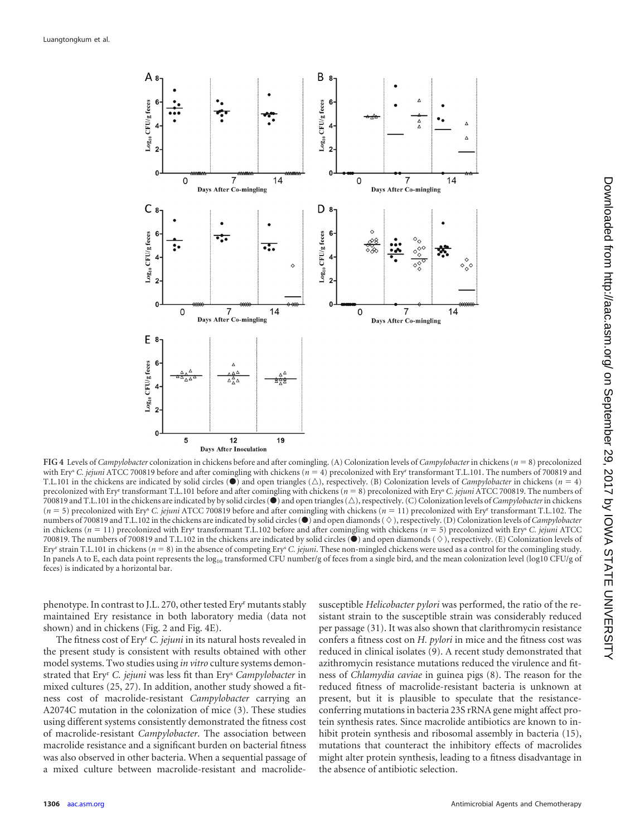

<span id="page-6-0"></span>**FIG 4** Levels of *Campylobacter* colonization in chickens before and after comingling. (A) Colonization levels of *Campylobacter* in chickens (*n* - 8) precolonized with Ery<sup>s</sup> C. jejuni ATCC 700819 before and after comingling with chickens (*n* = 4) precolonized with Ery<sup>r</sup> transformant T.L.101. The numbers of 700819 and T.L.101 in the chickens are indicated by solid circles ( $\bullet$ ) and open triangles ( $\triangle$ ), respectively. (B) Colonization levels of *Campylobacter* in chickens (*n* = 4) precolonized with Ery<sup>r</sup> transformant T.L.101 before and after comingling with chickens (*n* = 8) precolonized with Ery<sup>s</sup> C. jejuni ATCC 700819. The numbers of 700819 and T.L.101 in the chickens are indicated by by solid circles ( $\bullet$ ) and open triangles ( $\triangle$ ), respectively. (C) Colonization levels of *Campylobacter* in chickens (*n* - 5) precolonized with Erys *C. jejuni* ATCC 700819 before and after comingling with chickens (*n* - 11) precolonized with Eryr transformant T.L.102. The numbers of 700819 and T.L.102 in the chickens are indicated by solid circles ( $\bullet$ ) and open diamonds ( $\Diamond$ ), respectively. (D) Colonization levels of *Campylobacter* in chickens  $(n = 11)$  precolonized with Ery<sup>r</sup> transformant T.L.102 before and after comingling with chickens  $(n = 5)$  precolonized with Ery<sup>s</sup> C. jejuni ATCC 700819. The numbers of 700819 and T.L.102 in the chickens are indicated by solid circles  $\left( \bullet \right)$  and open diamonds  $\langle \diamond \rangle$ , respectively. (E) Colonization levels of Ery<sup>r</sup> strain T.L.101 in chickens ( $n = 8$ ) in the absence of competing Ery<sup>s</sup> C. jejuni. These non-mingled chickens were used as a control for the comingling study. In panels A to E, each data point represents the log<sub>10</sub> transformed CFU number/g of feces from a single bird, and the mean colonization level (log10 CFU/g of feces) is indicated by a horizontal bar.

phenotype. In contrast to J.L. 270, other tested Ery<sup>r</sup> mutants stably maintained Ery resistance in both laboratory media (data not shown) and in chickens [\(Fig. 2](#page-3-0) and [Fig. 4E](#page-6-0)).

The fitness cost of Ery<sup>r</sup> *C. jejuni* in its natural hosts revealed in the present study is consistent with results obtained with other model systems. Two studies using *in vitro* culture systems demonstrated that Ery<sup>r</sup> *C. jejuni* was less fit than Ery<sup>s</sup> *Campylobacter* in mixed cultures [\(25,](#page-8-20) [27\)](#page-8-21). In addition, another study showed a fitness cost of macrolide-resistant *Campylobacter* carrying an A2074C mutation in the colonization of mice [\(3\)](#page-7-7). These studies using different systems consistently demonstrated the fitness cost of macrolide-resistant *Campylobacter*. The association between macrolide resistance and a significant burden on bacterial fitness was also observed in other bacteria. When a sequential passage of a mixed culture between macrolide-resistant and macrolidesusceptible *Helicobacter pylori* was performed, the ratio of the resistant strain to the susceptible strain was considerably reduced per passage [\(31\)](#page-8-16). It was also shown that clarithromycin resistance confers a fitness cost on *H. pylori* in mice and the fitness cost was reduced in clinical isolates [\(9\)](#page-7-3). A recent study demonstrated that azithromycin resistance mutations reduced the virulence and fitness of *Chlamydia caviae* in guinea pigs [\(8\)](#page-7-8). The reason for the reduced fitness of macrolide-resistant bacteria is unknown at present, but it is plausible to speculate that the resistanceconferring mutations in bacteria 23S rRNA gene might affect protein synthesis rates. Since macrolide antibiotics are known to inhibit protein synthesis and ribosomal assembly in bacteria [\(15\)](#page-8-31), mutations that counteract the inhibitory effects of macrolides might alter protein synthesis, leading to a fitness disadvantage in the absence of antibiotic selection.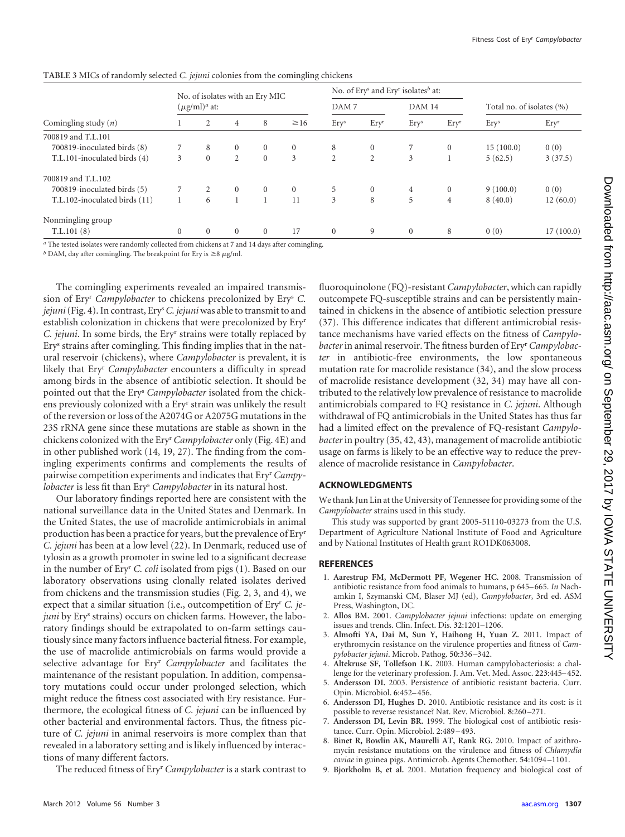|                               | No. of isolates with an Ery MIC<br>$(\mu\text{g/ml})^a$ at: |          |          |          |           |                  | No. of Ery <sup>s</sup> and Ery <sup>r</sup> isolates <sup>b</sup> at: |                  |                |                           |           |
|-------------------------------|-------------------------------------------------------------|----------|----------|----------|-----------|------------------|------------------------------------------------------------------------|------------------|----------------|---------------------------|-----------|
| Comingling study $(n)$        |                                                             |          |          |          |           | DAM <sub>7</sub> |                                                                        | <b>DAM 14</b>    |                | Total no. of isolates (%) |           |
|                               |                                                             |          | 4        | 8        | $\geq 16$ | Ery <sup>s</sup> | Ery <sup>r</sup>                                                       | Ery <sup>s</sup> | Eryr           | Ery <sup>s</sup>          | Eryr      |
| 700819 and T.L.101            |                                                             |          |          |          |           |                  |                                                                        |                  |                |                           |           |
| 700819-inoculated birds (8)   |                                                             | 8        | $\theta$ | $\Omega$ | $\Omega$  | 8                | $\Omega$                                                               |                  | $\mathbf{0}$   | 15(100.0)                 | 0(0)      |
| T.L.101-inoculated birds (4)  | 3                                                           | $\Omega$ | 2        | $\Omega$ | 3         | 2                | $\overline{2}$                                                         | 3                |                | 5(62.5)                   | 3(37.5)   |
| 700819 and T.I.102            |                                                             |          |          |          |           |                  |                                                                        |                  |                |                           |           |
| 700819-inoculated birds (5)   |                                                             |          | $\Omega$ | $\Omega$ | $\Omega$  | 5                | $\Omega$                                                               | 4                | $\mathbf{0}$   | 9(100.0)                  | 0(0)      |
| T.L.102-inoculated birds (11) |                                                             | 6        |          |          | 11        | 3                | 8                                                                      | 5                | $\overline{4}$ | 8(40.0)                   | 12(60.0)  |
| Nonmingling group             |                                                             |          |          |          |           |                  |                                                                        |                  |                |                           |           |
| T.L.101(8)                    | $\Omega$                                                    | $\Omega$ | $\theta$ | $\Omega$ | 17        | $\mathbf{0}$     | 9                                                                      | $\overline{0}$   | 8              | 0(0)                      | 17(100.0) |

<span id="page-7-6"></span>**TABLE 3** MICs of randomly selected *C. jejuni* colonies from the comingling chickens

*a* The tested isolates were randomly collected from chickens at 7 and 14 days after comingling.

 $<sup>b</sup>$  DAM, day after comingling. The breakpoint for Ery is  $\geq$ 8  $\mu$ g/ml.</sup>

The comingling experiments revealed an impaired transmission of Ery<sup>r</sup> *Campylobacter* to chickens precolonized by Ery<sup>s</sup> *C. jejuni*[\(Fig. 4\)](#page-6-0). In contrast, Erys*C. jejuni*was able to transmit to and establish colonization in chickens that were precolonized by Ery<sup>r</sup> *C. jejuni*. In some birds, the Ery<sup>r</sup> strains were totally replaced by Ery<sup>s</sup> strains after comingling. This finding implies that in the natural reservoir (chickens), where *Campylobacter* is prevalent, it is likely that Ery<sup>r</sup> *Campylobacter* encounters a difficulty in spread among birds in the absence of antibiotic selection. It should be pointed out that the Ery<sup>s</sup> *Campylobacter* isolated from the chickens previously colonized with a Ery<sup>r</sup> strain was unlikely the result of the reversion or loss of the A2074G or A2075G mutations in the 23S rRNA gene since these mutations are stable as shown in the chickens colonized with the Eryr*Campylobacter* only [\(Fig. 4E](#page-6-0)) and in other published work [\(14,](#page-8-9) [19,](#page-8-7) [27\)](#page-8-21). The finding from the comingling experiments confirms and complements the results of pairwise competition experiments and indicates that Ery<sup>r</sup> *Campylobacter* is less fit than Ery<sup>s</sup> *Campylobacter* in its natural host.

Our laboratory findings reported here are consistent with the national surveillance data in the United States and Denmark. In the United States, the use of macrolide antimicrobials in animal production has been a practice for years, but the prevalence of Ery<sup>r</sup> *C. jejuni* has been at a low level [\(22\)](#page-8-32). In Denmark, reduced use of tylosin as a growth promoter in swine led to a significant decrease in the number of Ery<sup>r</sup> *C. coli* isolated from pigs [\(1\)](#page-7-9). Based on our laboratory observations using clonally related isolates derived from chickens and the transmission studies [\(Fig. 2,](#page-3-0) [3,](#page-4-0) and [4\)](#page-6-0), we expect that a similar situation (i.e., outcompetition of Ery<sup>r</sup> *C. jejuni* by Ery<sup>s</sup> strains) occurs on chicken farms. However, the laboratory findings should be extrapolated to on-farm settings cautiously since many factors influence bacterial fitness. For example, the use of macrolide antimicrobials on farms would provide a selective advantage for Ery<sup>r</sup> *Campylobacter* and facilitates the maintenance of the resistant population. In addition, compensatory mutations could occur under prolonged selection, which might reduce the fitness cost associated with Ery resistance. Furthermore, the ecological fitness of *C. jejuni* can be influenced by other bacterial and environmental factors. Thus, the fitness picture of *C. jejuni* in animal reservoirs is more complex than that revealed in a laboratory setting and is likely influenced by interactions of many different factors.

The reduced fitness of Ery<sup>r</sup> *Campylobacter* is a stark contrast to

fluoroquinolone (FQ)-resistant *Campylobacter*, which can rapidly outcompete FQ-susceptible strains and can be persistently maintained in chickens in the absence of antibiotic selection pressure [\(37\)](#page-8-17). This difference indicates that different antimicrobial resistance mechanisms have varied effects on the fitness of *Campylobacter*in animal reservoir. The fitness burden of Ery<sup>r</sup> *Campylobacter* in antibiotic-free environments, the low spontaneous mutation rate for macrolide resistance [\(34\)](#page-8-5), and the slow process of macrolide resistance development [\(32,](#page-8-4) [34\)](#page-8-5) may have all contributed to the relatively low prevalence of resistance to macrolide antimicrobials compared to FQ resistance in *C. jejuni*. Although withdrawal of FQ antimicrobials in the United States has thus far had a limited effect on the prevalence of FQ-resistant *Campylobacter*in poultry [\(35,](#page-8-33) [42,](#page-8-34) [43\)](#page-8-35), management of macrolide antibiotic usage on farms is likely to be an effective way to reduce the prevalence of macrolide resistance in *Campylobacter*.

## **ACKNOWLEDGMENTS**

We thank Jun Lin at the University of Tennessee for providing some of the *Campylobacter* strains used in this study.

This study was supported by grant 2005-51110-03273 from the U.S. Department of Agriculture National Institute of Food and Agriculture and by National Institutes of Health grant RO1DK063008.

## <span id="page-7-9"></span>**REFERENCES**

- 1. **Aarestrup FM, McDermott PF, Wegener HC.** 2008. Transmission of antibiotic resistance from food animals to humans, p 645–665. *In* Nachamkin I, Szymanski CM, Blaser MJ (ed), *Campylobacter*, 3rd ed. ASM Press, Washington, DC.
- <span id="page-7-0"></span>2. **Allos BM.** 2001. *Campylobacter jejuni* infections: update on emerging issues and trends. Clin. Infect. Dis. **32**:1201–1206.
- <span id="page-7-7"></span>3. **Almofti YA, Dai M, Sun Y, Haihong H, Yuan Z.** 2011. Impact of erythromycin resistance on the virulence properties and fitness of *Campylobacter jejuni*. Microb. Pathog. **50**:336 –342.
- <span id="page-7-1"></span>4. **Altekruse SF, Tollefson LK.** 2003. Human campylobacteriosis: a challenge for the veterinary profession. J. Am. Vet. Med. Assoc. **223**:445–452.
- <span id="page-7-4"></span>5. **Andersson DI.** 2003. Persistence of antibiotic resistant bacteria. Curr. Opin. Microbiol. **6**:452–456.
- <span id="page-7-5"></span>6. **Andersson DI, Hughes D.** 2010. Antibiotic resistance and its cost: is it possible to reverse resistance? Nat. Rev. Microbiol. **8**:260 –271.
- <span id="page-7-2"></span>7. **Andersson DI, Levin BR.** 1999. The biological cost of antibiotic resistance. Curr. Opin. Microbiol. **2**:489 –493.
- <span id="page-7-8"></span>8. **Binet R, Bowlin AK, Maurelli AT, Rank RG.** 2010. Impact of azithromycin resistance mutations on the virulence and fitness of *Chlamydia caviae* in guinea pigs. Antimicrob. Agents Chemother. **54**:1094 –1101.
- <span id="page-7-3"></span>9. **Bjorkholm B, et al.** 2001. Mutation frequency and biological cost of